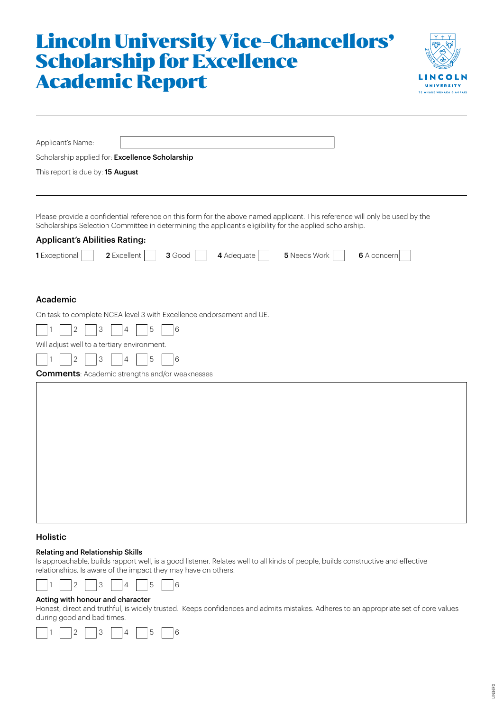# Lincoln University Vice-Chancellors' Scholarship for Excellence Academic Report



| Applicant's Name:                                                                                                                                                                                                                       |  |  |  |  |  |  |
|-----------------------------------------------------------------------------------------------------------------------------------------------------------------------------------------------------------------------------------------|--|--|--|--|--|--|
| Scholarship applied for: Excellence Scholarship                                                                                                                                                                                         |  |  |  |  |  |  |
| This report is due by: 15 August                                                                                                                                                                                                        |  |  |  |  |  |  |
|                                                                                                                                                                                                                                         |  |  |  |  |  |  |
| Please provide a confidential reference on this form for the above named applicant. This reference will only be used by the<br>Scholarships Selection Committee in determining the applicant's eligibility for the applied scholarship. |  |  |  |  |  |  |
| <b>Applicant's Abilities Rating:</b>                                                                                                                                                                                                    |  |  |  |  |  |  |
| 4 Adequate<br>5 Needs Work<br>1 Exceptional<br>2 Excellent<br>$3$ Good  <br>6 A concern                                                                                                                                                 |  |  |  |  |  |  |
| Academic                                                                                                                                                                                                                                |  |  |  |  |  |  |
| On task to complete NCEA level 3 with Excellence endorsement and UE.                                                                                                                                                                    |  |  |  |  |  |  |
| 3<br>2<br>5<br>6<br>4                                                                                                                                                                                                                   |  |  |  |  |  |  |
| Will adjust well to a tertiary environment.                                                                                                                                                                                             |  |  |  |  |  |  |
| 3<br>5<br>6<br>2<br>4                                                                                                                                                                                                                   |  |  |  |  |  |  |
| <b>Comments: Academic strengths and/or weaknesses</b>                                                                                                                                                                                   |  |  |  |  |  |  |
|                                                                                                                                                                                                                                         |  |  |  |  |  |  |
|                                                                                                                                                                                                                                         |  |  |  |  |  |  |
|                                                                                                                                                                                                                                         |  |  |  |  |  |  |
|                                                                                                                                                                                                                                         |  |  |  |  |  |  |
|                                                                                                                                                                                                                                         |  |  |  |  |  |  |
|                                                                                                                                                                                                                                         |  |  |  |  |  |  |
|                                                                                                                                                                                                                                         |  |  |  |  |  |  |
|                                                                                                                                                                                                                                         |  |  |  |  |  |  |
|                                                                                                                                                                                                                                         |  |  |  |  |  |  |
|                                                                                                                                                                                                                                         |  |  |  |  |  |  |

# Holistic

## Relating and Relationship Skills

Is approachable, builds rapport well, is a good listener. Relates well to all kinds of people, builds constructive and effective relationships. Is aware of the impact they may have on others.



## Acting with honour and character

Honest, direct and truthful, is widely trusted. Keeps confidences and admits mistakes. Adheres to an appropriate set of core values during good and bad times.